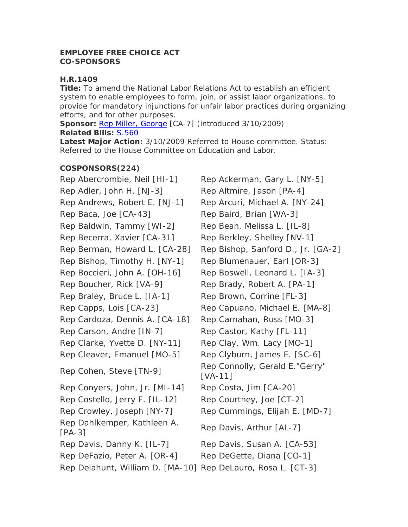## **EMPLOYEE FREE CHOICE ACT CO-SPONSORS**

## **H.R.1409**

**Title:** To amend the National Labor Relations Act to establish an efficient system to enable employees to form, join, or assist labor organizations, to provide for mandatory injunctions for unfair labor practices during organizing efforts, and for other purposes.

**Sponsor: [Rep Miller, George](http://thomas.loc.gov/cgi-bin/bdquery/?&Db=d111&querybd=@FIELD(FLD003+@4((@1(Rep+Miller++George))+00808))) [CA-7] (introduced 3/10/2009) Related Bills:** [S.560](http://thomas.loc.gov/cgi-bin/bdquery/z?d111:SN00560:) 

**Latest Major Action:** 3/10/2009 Referred to House committee. Status: Referred to the House Committee on Education and Labor.

## **COSPONSORS(224)**

Rep Abercrombie, Neil [HI-1] Rep Ackerman, Gary L. [NY-5] Rep Adler, John H. [NJ-3] Rep Altmire, Jason [PA-4] Rep Andrews, Robert E. [NJ-1] Rep Arcuri, Michael A. [NY-24] Rep Baca, Joe [CA-43] Rep Baird, Brian [WA-3] Rep Baldwin, Tammy [WI-2] Rep Bean, Melissa L. [IL-8] Rep Becerra, Xavier [CA-31] Rep Berkley, Shelley [NV-1] Rep Berman, Howard L. [CA-28] Rep Bishop, Sanford D., Jr. [GA-2] Rep Bishop, Timothy H. [NY-1] Rep Blumenauer, Earl [OR-3] Rep Boccieri, John A. [OH-16] Rep Boswell, Leonard L. [IA-3] Rep Boucher, Rick [VA-9] Rep Brady, Robert A. [PA-1] Rep Braley, Bruce L. [IA-1] Rep Brown, Corrine [FL-3] Rep Capps, Lois [CA-23] Rep Capuano, Michael E. [MA-8] Rep Cardoza, Dennis A. [CA-18] Rep Carnahan, Russ [MO-3] Rep Carson, Andre [IN-7] Rep Castor, Kathy [FL-11] Rep Clarke, Yvette D. [NY-11] Rep Clay, Wm. Lacy [MO-1] Rep Cleaver, Emanuel [MO-5] Rep Clyburn, James E. [SC-6] Rep Cohen, Steve [TN-9] Rep Connolly, Gerald E."Gerry" Rep Conyers, John, Jr. [MI-14] Rep Costa, Jim [CA-20] Rep Costello, Jerry F. [IL-12] Rep Courtney, Joe [CT-2] Rep Crowley, Joseph [NY-7] Rep Cummings, Elijah E. [MD-7] Rep Dahlkemper, Kathleen A. Rep Davis, Arthur [AL-7]<br>[PA-3] Rep Davis, Danny K. [IL-7] Rep Davis, Susan A. [CA-53] Rep DeFazio, Peter A. [OR-4] Rep DeGette, Diana [CO-1] Rep Delahunt, William D. [MA-10] Rep DeLauro, Rosa L. [CT-3]

[VA-11]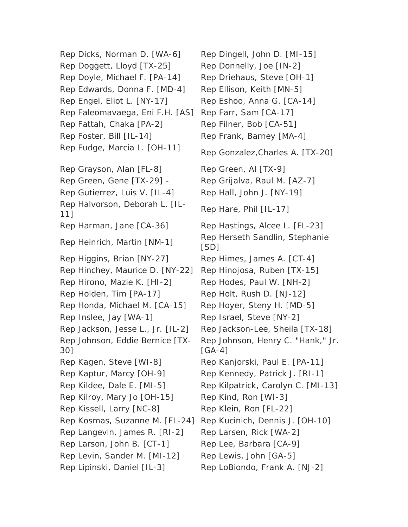Rep Doggett, Lloyd [TX-25] Rep Donnelly, Joe [IN-2] Rep Doyle, Michael F. [PA-14] Rep Driehaus, Steve [OH-1] Rep Edwards, Donna F. [MD-4] Rep Ellison, Keith [MN-5] Rep Engel, Eliot L. [NY-17] Rep Eshoo, Anna G. [CA-14] Rep Faleomavaega, Eni F.H. [AS] Rep Farr, Sam [CA-17] Rep Fattah, Chaka [PA-2] Rep Filner, Bob [CA-51] Rep Foster, Bill [IL-14] Rep Frank, Barney [MA-4] Rep Fudge, Marcia L. [OH-11] Rep Gonzalez,Charles A. [TX-20] Rep Grayson, Alan [FL-8] Rep Green, Al [TX-9] Rep Green, Gene [TX-29] - Rep Grijalva, Raul M. [AZ-7] Rep Gutierrez, Luis V. [IL-4] Rep Hall, John J. [NY-19] Rep Halvorson, Deborah L. [IL-Rep Hare, Phil [IL-17]<br>11] Rep Harman, Jane [CA-36] Rep Hastings, Alcee L. [FL-23] Rep Heinrich, Martin [NM-1] Rep Herseth Sandlin, Stephanie Rep Higgins, Brian [NY-27] Rep Himes, James A. [CT-4] Rep Hinchey, Maurice D. [NY-22] Rep Hinojosa, Ruben [TX-15] Rep Hirono, Mazie K. [HI-2] Rep Hodes, Paul W. [NH-2] Rep Holden, Tim [PA-17] Rep Holt, Rush D. [NJ-12] Rep Honda, Michael M. [CA-15] Rep Hoyer, Steny H. [MD-5] Rep Inslee, Jay [WA-1] Rep Israel, Steve [NY-2] Rep Jackson, Jesse L., Jr. [IL-2] Rep Jackson-Lee, Sheila [TX-18] Rep Johnson, Eddie Bernice [TX-30] Rep Kagen, Steve [WI-8] Rep Kanjorski, Paul E. [PA-11] Rep Kaptur, Marcy [OH-9] Rep Kennedy, Patrick J. [RI-1] Rep Kilroy, Mary Jo [OH-15] Rep Kind, Ron [WI-3] Rep Kissell, Larry [NC-8] Rep Klein, Ron [FL-22] Rep Kosmas, Suzanne M. [FL-24] Rep Kucinich, Dennis J. [OH-10] Rep Langevin, James R. [RI-2] Rep Larsen, Rick [WA-2] Rep Larson, John B. [CT-1] Rep Lee, Barbara [CA-9] Rep Levin, Sander M. [MI-12] Rep Lewis, John [GA-5] Rep Lipinski, Daniel [IL-3] Rep LoBiondo, Frank A. [NJ-2]

Rep Dicks, Norman D. [WA-6] Rep Dingell, John D. [MI-15] [SD] Rep Johnson, Henry C. "Hank," Jr. [GA-4] Rep Kildee, Dale E. [MI-5] Rep Kilpatrick, Carolyn C. [MI-13]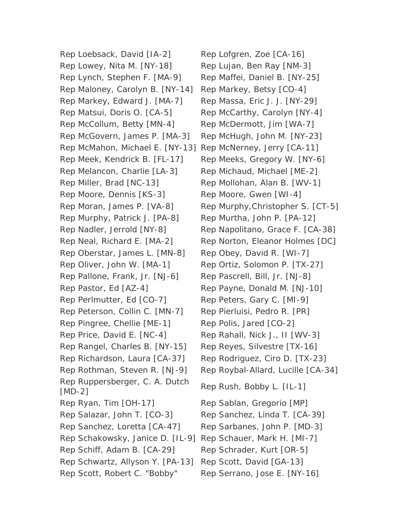Rep Loebsack, David [IA-2] Rep Lofgren, Zoe [CA-16] Rep Lowey, Nita M. [NY-18] Rep Lujan, Ben Ray [NM-3] Rep Lynch, Stephen F. [MA-9] Rep Maffei, Daniel B. [NY-25] Rep Maloney, Carolyn B. [NY-14] Rep Markey, Betsy [CO-4] Rep Markey, Edward J. [MA-7] Rep Massa, Eric J. J. [NY-29] Rep Matsui, Doris O. [CA-5] Rep McCarthy, Carolyn [NY-4] Rep McCollum, Betty [MN-4] Rep McDermott, Jim [WA-7] Rep McGovern, James P. [MA-3] Rep McHugh, John M. [NY-23] Rep McMahon, Michael E. [NY-13] Rep McNerney, Jerry [CA-11] Rep Meek, Kendrick B. [FL-17] Rep Meeks, Gregory W. [NY-6] Rep Melancon, Charlie [LA-3] Rep Michaud, Michael [ME-2] Rep Miller, Brad [NC-13] Rep Mollohan, Alan B. [WV-1] Rep Moore, Dennis [KS-3] Rep Moore, Gwen [WI-4] Rep Murphy, Patrick J. [PA-8] Rep Murtha, John P. [PA-12] Rep Oberstar, James L. [MN-8] Rep Obey, David R. [WI-7] Rep Oliver, John W. [MA-1] Rep Ortiz, Solomon P. [TX-27] Rep Pallone, Frank, Jr. [NJ-6] Rep Pascrell, Bill, Jr. [NJ-8] Rep Pastor, Ed [AZ-4] Rep Payne, Donald M. [NJ-10] Rep Perlmutter, Ed [CO-7] Rep Peters, Gary C. [MI-9] Rep Peterson, Collin C. [MN-7] Rep Pierluisi, Pedro R. [PR] Rep Pingree, Chellie [ME-1] Rep Polis, Jared [CO-2] Rep Price, David E. [NC-4] Rep Rahall, Nick J., II [WV-3] Rep Rangel, Charles B. [NY-15] Rep Reyes, Silvestre [TX-16] Rep Richardson, Laura [CA-37] Rep Rodriguez, Ciro D. [TX-23] Rep Ruppersberger, C. A. Dutch Rep Rush, Bobby L. [IL-1]<br>[MD-2] Rep Ryan, Tim [OH-17] Rep Sablan, Gregorio [MP] Rep Salazar, John T. [CO-3] Rep Sanchez, Linda T. [CA-39] Rep Sanchez, Loretta [CA-47] Rep Sarbanes, John P. [MD-3] Rep Schakowsky, Janice D. [IL-9] Rep Schauer, Mark H. [MI-7] Rep Schiff, Adam B. [CA-29] Rep Schrader, Kurt [OR-5] Rep Schwartz, Allyson Y. [PA-13] Rep Scott, David [GA-13] Rep Scott, Robert C. "Bobby" Rep Serrano, Jose E. [NY-16]

Rep Moran, James P. [VA-8] Rep Murphy, Christopher S. [CT-5] Rep Nadler, Jerrold [NY-8] Rep Napolitano, Grace F. [CA-38] Rep Neal, Richard E. [MA-2] Rep Norton, Eleanor Holmes [DC] Rep Rothman, Steven R. [NJ-9] Rep Roybal-Allard, Lucille [CA-34]